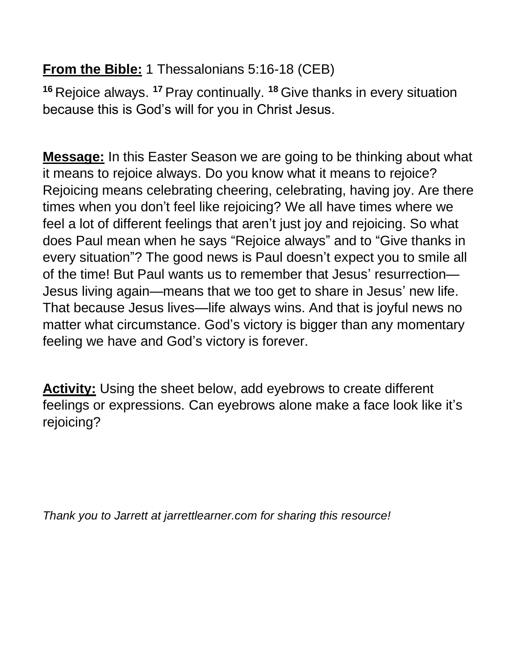## **From the Bible:** 1 Thessalonians 5:16-18 (CEB)

**<sup>16</sup>** Rejoice always. **<sup>17</sup>** Pray continually. **<sup>18</sup>** Give thanks in every situation because this is God's will for you in Christ Jesus.

**Message:** In this Easter Season we are going to be thinking about what it means to rejoice always. Do you know what it means to rejoice? Rejoicing means celebrating cheering, celebrating, having joy. Are there times when you don't feel like rejoicing? We all have times where we feel a lot of different feelings that aren't just joy and rejoicing. So what does Paul mean when he says "Rejoice always" and to "Give thanks in every situation"? The good news is Paul doesn't expect you to smile all of the time! But Paul wants us to remember that Jesus' resurrection— Jesus living again—means that we too get to share in Jesus' new life. That because Jesus lives—life always wins. And that is joyful news no matter what circumstance. God's victory is bigger than any momentary feeling we have and God's victory is forever.

**Activity:** Using the sheet below, add eyebrows to create different feelings or expressions. Can eyebrows alone make a face look like it's rejoicing?

*Thank you to Jarrett at jarrettlearner.com for sharing this resource!*